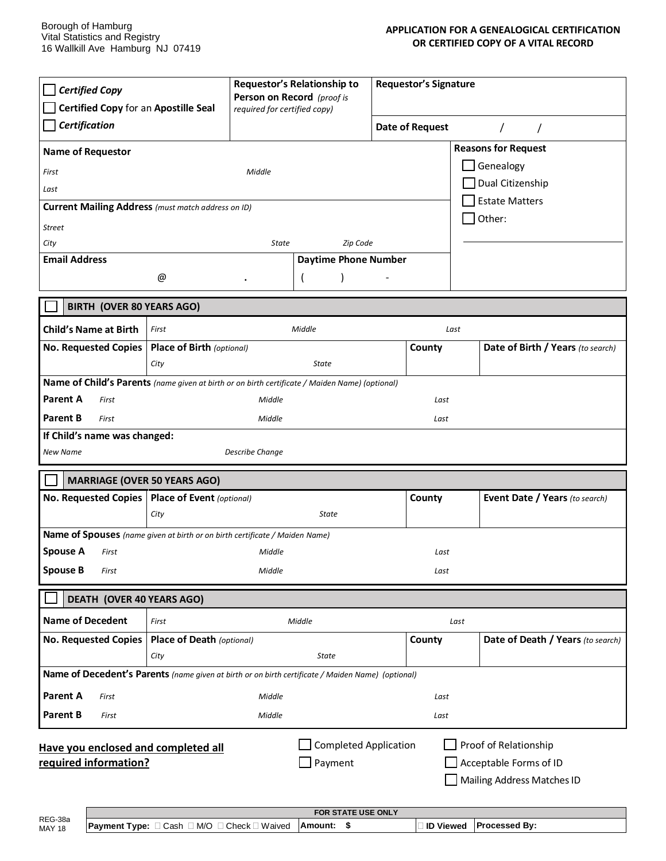| <b>Certified Copy</b><br>Certified Copy for an Apostille Seal                                                                                                                            |                                  | Requestor's Relationship to<br>Person on Record (proof is<br>required for certified copy) |                             | Requestor's Signature |                 |                                   |  |
|------------------------------------------------------------------------------------------------------------------------------------------------------------------------------------------|----------------------------------|-------------------------------------------------------------------------------------------|-----------------------------|-----------------------|-----------------|-----------------------------------|--|
| <b>Certification</b>                                                                                                                                                                     |                                  |                                                                                           |                             |                       | Date of Request |                                   |  |
| <b>Reasons for Request</b><br><b>Name of Requestor</b>                                                                                                                                   |                                  |                                                                                           |                             |                       |                 |                                   |  |
| First                                                                                                                                                                                    |                                  | Middle                                                                                    |                             |                       |                 | Genealogy                         |  |
| Last                                                                                                                                                                                     |                                  |                                                                                           |                             | Dual Citizenship      |                 |                                   |  |
| <b>Estate Matters</b><br><b>Current Mailing Address</b> (must match address on ID)<br>Other:                                                                                             |                                  |                                                                                           |                             |                       |                 |                                   |  |
| <b>Street</b>                                                                                                                                                                            |                                  |                                                                                           |                             |                       |                 |                                   |  |
| City                                                                                                                                                                                     |                                  | State                                                                                     | Zip Code                    |                       |                 |                                   |  |
| <b>Email Address</b>                                                                                                                                                                     |                                  |                                                                                           | <b>Daytime Phone Number</b> |                       |                 |                                   |  |
|                                                                                                                                                                                          | @                                |                                                                                           |                             |                       |                 |                                   |  |
| <b>BIRTH (OVER 80 YEARS AGO)</b>                                                                                                                                                         |                                  |                                                                                           |                             |                       |                 |                                   |  |
| <b>Child's Name at Birth</b>                                                                                                                                                             | First                            |                                                                                           | Middle                      |                       | Last            |                                   |  |
| <b>No. Requested Copies</b>                                                                                                                                                              | Place of Birth (optional)        |                                                                                           |                             |                       | County          | Date of Birth / Years (to search) |  |
|                                                                                                                                                                                          | City                             |                                                                                           | State                       |                       |                 |                                   |  |
| Name of Child's Parents (name given at birth or on birth certificate / Maiden Name) (optional)                                                                                           |                                  |                                                                                           |                             |                       |                 |                                   |  |
| Parent A<br>First                                                                                                                                                                        |                                  | Middle                                                                                    |                             |                       | Last            |                                   |  |
| <b>Parent B</b><br>First                                                                                                                                                                 |                                  | Middle                                                                                    |                             |                       | Last            |                                   |  |
| If Child's name was changed:                                                                                                                                                             |                                  |                                                                                           |                             |                       |                 |                                   |  |
| Describe Change<br>New Name                                                                                                                                                              |                                  |                                                                                           |                             |                       |                 |                                   |  |
| <b>MARRIAGE (OVER 50 YEARS AGO)</b>                                                                                                                                                      |                                  |                                                                                           |                             |                       |                 |                                   |  |
| <b>No. Requested Copies</b>                                                                                                                                                              | Place of Event (optional)        |                                                                                           |                             |                       | County          | Event Date / Years (to search)    |  |
|                                                                                                                                                                                          | City                             |                                                                                           | State                       |                       |                 |                                   |  |
| Name of Spouses (name given at birth or on birth certificate / Maiden Name)                                                                                                              |                                  |                                                                                           |                             |                       |                 |                                   |  |
| <b>Spouse A</b><br>First                                                                                                                                                                 |                                  | Middle                                                                                    |                             |                       | Last            |                                   |  |
| <b>Spouse B</b><br>First                                                                                                                                                                 |                                  | Middle                                                                                    |                             |                       | Last            |                                   |  |
| <b>DEATH (OVER 40 YEARS AGO)</b>                                                                                                                                                         |                                  |                                                                                           |                             |                       |                 |                                   |  |
| <b>Name of Decedent</b>                                                                                                                                                                  | Middle<br>First                  |                                                                                           |                             | Last                  |                 |                                   |  |
| <b>No. Requested Copies</b>                                                                                                                                                              | <b>Place of Death (optional)</b> |                                                                                           |                             |                       | County          | Date of Death / Years (to search) |  |
|                                                                                                                                                                                          | City                             |                                                                                           | State                       |                       |                 |                                   |  |
| Name of Decedent's Parents (name given at birth or on birth certificate / Maiden Name) (optional)                                                                                        |                                  |                                                                                           |                             |                       |                 |                                   |  |
| Parent A<br>First                                                                                                                                                                        |                                  | Middle                                                                                    |                             |                       | Last            |                                   |  |
| <b>Parent B</b><br>First                                                                                                                                                                 |                                  | Middle                                                                                    |                             |                       | Last            |                                   |  |
| <b>Completed Application</b><br>Proof of Relationship<br>Have you enclosed and completed all<br>required information?<br>Payment<br>Acceptable Forms of ID<br>Mailing Address Matches ID |                                  |                                                                                           |                             |                       |                 |                                   |  |

| REG-38a                                                                                                                                         |  |
|-------------------------------------------------------------------------------------------------------------------------------------------------|--|
| <b>Processed By:</b><br><b>Payment Type:</b> $\Box$ Cash $\Box$ M/O $\Box$ Check $\Box$ Waived<br><b>ID Viewed</b><br>⊺Amount:<br><b>MAY 18</b> |  |